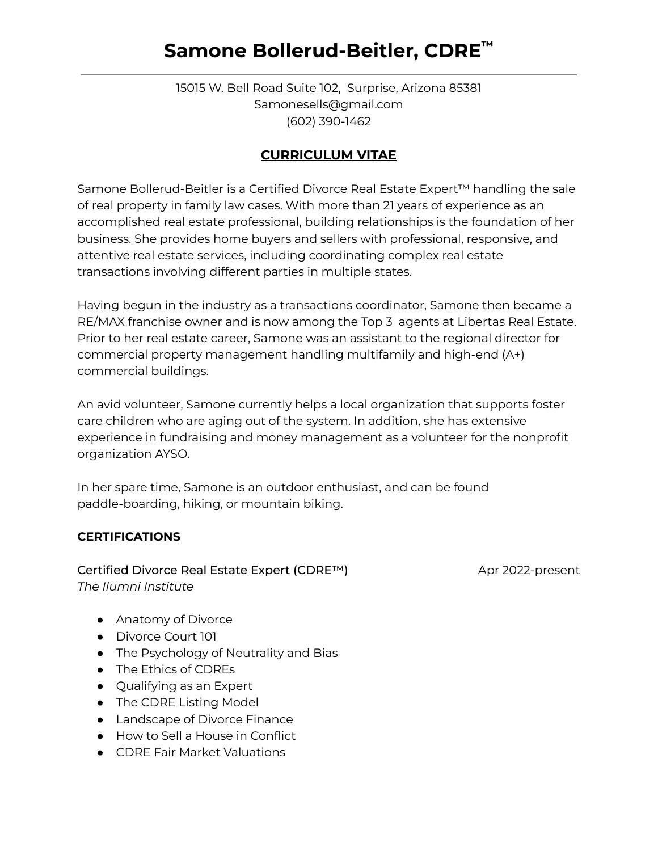# **Samone Bollerud-Beitler, CDRE ™**

15015 W. Bell Road Suite 102, Surprise, Arizona 85381 Samonesells@gmail.com (602) 390-1462

## **CURRICULUM VITAE**

Samone Bollerud-Beitler is a Certified Divorce Real Estate Expert™ handling the sale of real property in family law cases. With more than 21 years of experience as an accomplished real estate professional, building relationships is the foundation of her business. She provides home buyers and sellers with professional, responsive, and attentive real estate services, including coordinating complex real estate transactions involving different parties in multiple states.

Having begun in the industry as a transactions coordinator, Samone then became a RE/MAX franchise owner and is now among the Top 3 agents at Libertas Real Estate. Prior to her real estate career, Samone was an assistant to the regional director for commercial property management handling multifamily and high-end (A+) commercial buildings.

An avid volunteer, Samone currently helps a local organization that supports foster care children who are aging out of the system. In addition, she has extensive experience in fundraising and money management as a volunteer for the nonprofit organization AYSO.

In her spare time, Samone is an outdoor enthusiast, and can be found paddle-boarding, hiking, or mountain biking.

#### **CERTIFICATIONS**

Certified Divorce Real Estate Expert (CDRE™) Apr 2022-present *The Ilumni Institute*

- Anatomy of Divorce
- Divorce Court 101
- The Psychology of Neutrality and Bias
- The Ethics of CDREs
- Qualifying as an Expert
- The CDRE Listing Model
- Landscape of Divorce Finance
- How to Sell a House in Conflict
- CDRE Fair Market Valuations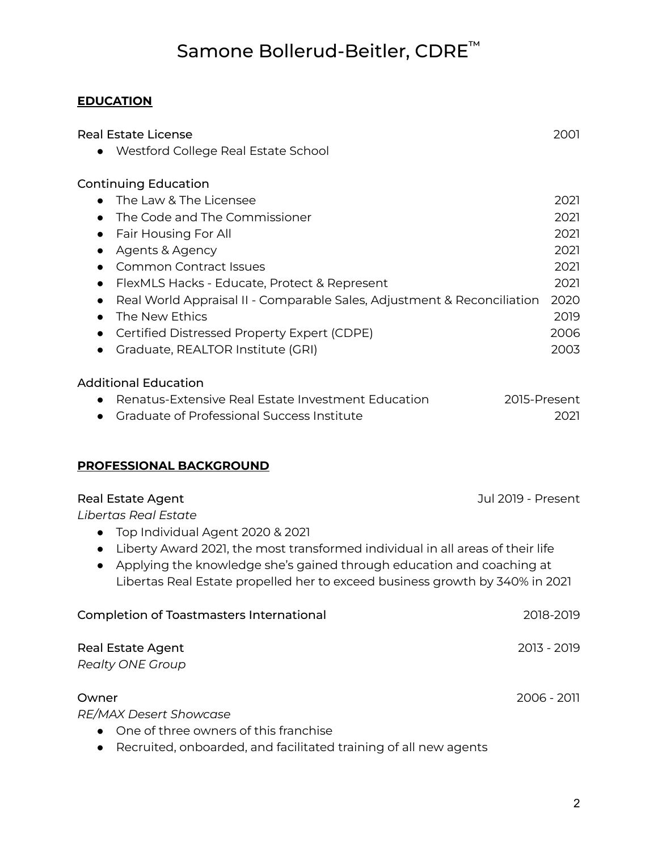# Samone Bollerud-Beitler, CDRE ™

### **EDUCATION**

| <b>Real Estate License</b><br>Westford College Real Estate School                                                                                                                                                                                                                                                                                                                                                                                                                                                        | 2001                                                                         |
|--------------------------------------------------------------------------------------------------------------------------------------------------------------------------------------------------------------------------------------------------------------------------------------------------------------------------------------------------------------------------------------------------------------------------------------------------------------------------------------------------------------------------|------------------------------------------------------------------------------|
| <b>Continuing Education</b><br>The Law & The Licensee<br>$\bullet$<br>The Code and The Commissioner<br>$\bullet$<br>Fair Housing For All<br>$\bullet$<br>Agents & Agency<br>$\bullet$<br><b>Common Contract Issues</b><br>$\bullet$<br>FlexMLS Hacks - Educate, Protect & Represent<br>$\bullet$<br>Real World Appraisal II - Comparable Sales, Adjustment & Reconciliation<br>$\bullet$<br>The New Ethics<br>$\bullet$<br>Certified Distressed Property Expert (CDPE)<br>$\bullet$<br>Graduate, REALTOR Institute (GRI) | 2021<br>2021<br>2021<br>2021<br>2021<br>2021<br>2020<br>2019<br>2006<br>2003 |
| <b>Additional Education</b><br>Renatus-Extensive Real Estate Investment Education<br>2015-Present<br>Graduate of Professional Success Institute                                                                                                                                                                                                                                                                                                                                                                          | 2021                                                                         |
| <b>PROFESSIONAL BACKGROUND</b>                                                                                                                                                                                                                                                                                                                                                                                                                                                                                           |                                                                              |
| <b>Jul 2019 - Present</b><br><b>Real Estate Agent</b><br>Libertas Real Estate<br>Top Individual Agent 2020 & 2021<br>$\bullet$<br>Liberty Award 2021, the most transformed individual in all areas of their life<br>$\bullet$<br>Applying the knowledge she's gained through education and coaching at<br>$\bullet$<br>Libertas Real Estate propelled her to exceed business growth by 340% in 2021                                                                                                                      |                                                                              |
| <b>Completion of Toastmasters International</b>                                                                                                                                                                                                                                                                                                                                                                                                                                                                          | 2018-2019                                                                    |
| <b>Real Estate Agent</b><br><b>Realty ONE Group</b>                                                                                                                                                                                                                                                                                                                                                                                                                                                                      | 2013 - 2019                                                                  |
| Owner<br><b>RE/MAX Desert Showcase</b><br>One of three owners of this franchise                                                                                                                                                                                                                                                                                                                                                                                                                                          | 2006 - 2011                                                                  |

● Recruited, onboarded, and facilitated training of all new agents